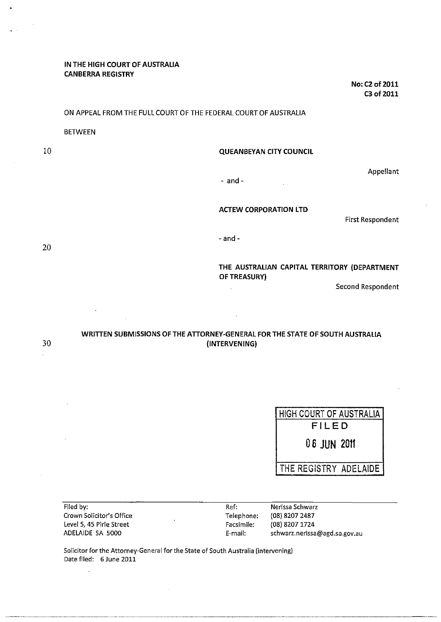# IN THE HIGH COURT OF AUSTRALIA CANBERRA REGISTRY

No: C2 of 2011 C30f2011

## ON APPEAL FROM THE FULL COURT OF THE FEDERAL COURT OF AUSTRALIA

BETWEEN

10

## QUEANBEYAN CITY COUNCIL

Appellant

- and-

# ACTEW CORPORATION LTD

First Respondent

- and-

# THE AUSTRALIAN CAPITAL TERRITORY (OEPARTMENT OF TREASURY)

Second Respondent

# WRITTEN SUBMISSIONS OF THE ATTORNEY-GENERAL FOR THE STATE OF SOUTH AUSTRALIA 30 (INTERVENING)

| HIGH COURT OF AUSTRALIA |
|-------------------------|
| FILED                   |
| 06 JUN 2011             |
| THE REGISTRY ADELAIDE   |

Filed by: Crown Solicitor's Office Level 5, 45 Pirie Street ADELAIDE SA 5000

**Ref: Nerissa Schwarz**  Telephone: (08) 8207 2487 Facsimile: (08) 8207 1724 **E-mail: schwarz.nerissa@agd.sa.gov.au** 

Solicitor for the Attorney-General for the State of South Australia (intervening) Date filed: 6 June 2011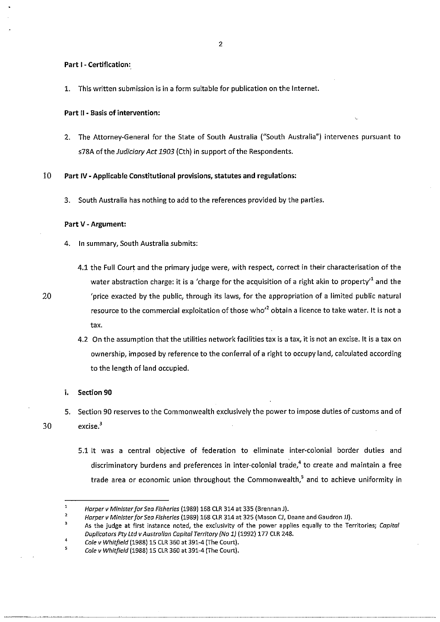### Part I - Certification:

1. This written submission is in a form suitable for publication on the Internet.

### Part 11 - Basis of intervention:

2. The Attorney-General for the State of South Australia ("South Australia") intervenes pursuant to s78A of the Judiciary Act 1903 (Cth) in support of the Respondents.

### 10 Part IV - Applicable Constitutional provisions, statutes and regulations:

3. South Australia has nothing to add to the references provided by the parties.

#### Part V - Argument:

- 4. In summary, South Australia submits:
	- 4.1 the Full Court and the primary judge were, with respect, correct in their characterisation of the water abstraction charge: it is a 'charge for the acquisition of a right akin to property'<sup>1</sup> and the 'price exacted by the public, through its laws, for the appropriation of a limited public natural resource to the commercial exploitation of those who<sup>'2</sup> obtain a licence to take water. It is not a
	- tax.

20

4.2 On the assumption that the utilities network facilities tax is a tax, it is not an excise. It is a tax on ownership, imposed by reference to the conferral of a right to occupy land, calculated according to the length of land occupied.

#### i. Section 90

- 5. Section 90 reserves to the Commonwealth exclusively the power to impose duties of customs and of 30 excise.'
	- 5.1 It was a central objective of federation to eliminate inter-colonial border duties and discriminatory burdens and preferences in inter-colonial trade,<sup>4</sup> to create and maintain a free trade area or economic union throughout the Commonwealth, $<sup>5</sup>$  and to achieve uniformity in</sup>

*Harper v Minister jar Sea Fisheries* (1989) 168 CLR 314 at 335 (Brennan J).

<sup>2</sup>  *Harper v Minister jar Sea Fisheries* (1989) 168 CLR 314 at 325 (Mason CJ, Deane and Gaudron JJ).

 $\overline{3}$ **As the judge at first instance noted, the exclusivity of the power applies equally to the Territories; Capital**  *Duplicators Pty Ltd v Australian Capital Territory (No* 1) (1992) 177 CLR 248.

<sup>4</sup>  *Cole v Whitjield* (1988) 15 CLR 360 at 391-4 (The Court).

*Cole v Whitjield* (1988) 15 CLR 360 at 391-4 (The Court).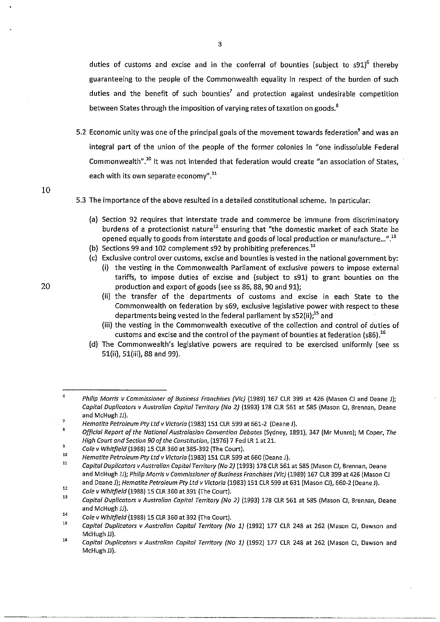duties of customs and excise and in the conferral of bounties (subject to  $s91$ <sup>6</sup> thereby guaranteeing to the people of the Commonwealth equality in respect of the burden of such duties and the benefit of such bounties<sup>7</sup> and protection against undesirable competition between States through the imposition of varying rates of taxation on goods.<sup>8</sup>

5.2 Economic unity was one of the principal goals of the movement towards federation<sup>9</sup> and was an integral part of the union of the people of the former colonies in "one indissoluble Federal Commonwealth".<sup>10</sup> It was not intended that federation would create "an association of States, each with its own separate economy".<sup>11</sup>

10

- 5.3 The importance of the above resulted in a detailed constitutional scheme. In particular:
	- (a) Section 92 requires that interstate trade and commerce be immune from discriminatory burdens of a protectionist nature<sup>12</sup> ensuring that "the domestic market of each State be opened equally to goods from interstate and goods of local production or manufacture...".<sup>13</sup>
	- (b) Sections 99 and 102 complement s92 by prohibiting preferences.<sup>14</sup>
	- (c) Exclusive control over customs, excise and bounties is vested in the national government by: (i) the vesting in the Commonwealth Parliament of exclusive powers to impose external tariffs, to impose duties of excise and (subject to s91) to grant bounties on the production and export of goods (see ss 86, 88, 90 and 91);
		- (ii) the transfer of the departments of customs and excise in each State to the Commonwealth on federation by s69, exclusive legislative power with respect to these departments being vested in the federal parliament by  $s52(ii);$ <sup>15</sup> and
		- (iii) the vesting in the Commonwealth executive of the collection and control of duties of customs and excise and the control of the payment of bounties at federation (s86).<sup>16</sup>
	- (d) The Commonwealth's legislative powers are required to be exercised uniformly (see ss 51(ii), 51(iii), 88 and 99).

<sup>,</sup>  *Philip Morris v Commissioner of Business Franchises (Vic)* (1989) 167 CLR 399 at 426 (Mason CJ and Deane J); *Capital Duplicators v Australian Capital Territory (No* 2) (1993) 178 CLR 561 at 585 (Mason Cl, Brennan, Deane and McHugh JJ).

<sup>,</sup>  *Hematite Petroleum Pty Ltd v Victoria* (1983) 151 CLR 599 at 661-2 (Deane J).

*Official Report of the National Australasian Convention Debates* (Sydney, 1891), 347 (Mr Munro); M Caper, *The High Court and Section* 90 *of the Constitution,* (1976) 7 Fed LR 1 at 21.

<sup>9</sup>  *Cole v Whit field* (1988) 15 CLR 360 at 385-392 (The Court).

<sup>10</sup>  *Hematite Petroleum Pty Ltd v Victoria* (1983) 151 CLR 599 at 660 (Deane J).

<sup>11</sup>  *Capital Duplicators v Australian Capitol Territory (No* 2) (1993) 178 CLR 561 at 585 (Mason Cl, Brennan, Deane and McHugh JJ); *Philip Morris v Commissioner of Business Franchises (Vic)* (1989) 167 CLR 399 at 426 (Mason CJ and Deane J); *Hemotite Petraleum Pty Ltd v Victoria* (1983) 151 CLR 599 at 631 (Mason Cl), 660-2 (Deane J).

<sup>12</sup>  *Cole v Whit field* (1988) 15 CLR 360 at 391 (The Court).

<sup>13</sup>  14 *Capital Duplicators v Australian Capital Territory (No* 2) (1993) 178 CLR 561 at 585 {Mason Cl, Brennan, Deane and McHugh JJ).

*Cole v Whit field* (1988) 15 CLR 360 at 392 (The Court).

<sup>15</sup>  16 Capital Duplicators v Australian Capital Territory (No 1) (1992) 177 CLR 248 at 262 (Mason CJ, Dawson and McHugh JJ).

*Capital Duplicators v Australian Capital Territory (No* 1) (1992) 177 CLR 248 at 262 (Mason Cl, Dawson and McHugh JJ).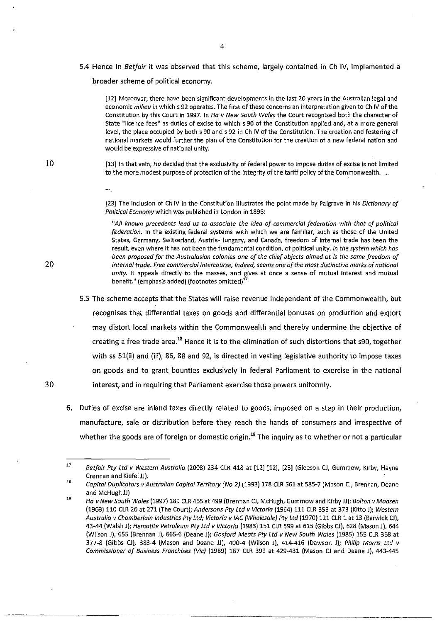5.4 Hence in *Bet/air* it was observed that this scheme, largely contained in Ch IV, implemented a

broader scheme of political economy.

**[12] Moreover, there have been significant developments in the last 20 years in the Australian legal and economic milieu in which 5 92 operates. The first** of these **concerns an interpretation given to Ch IV** of the **Constitution by this Court in 1997. In Ha v New South Wales the Court recognised both the character of**  State "licence fees" as duties of excise to which s 90 of the Constitution applied and, at a more general **level, the place occupied by both 590 and s 92 in Ch IV of the Constitution. The creation and fostering of national markets would further the plan of the Constitution for the creation of a new federal nation and would be expressive of national unity.** 

**[13] In that vein, Ha decided that the exclusivity of federal power to impose duties of excise is not limited**  to the more modest purpose of protection of the integrity of the tariff policy of the Commonwealth. ...

**[23] The inclusion of Ch IV in the Constitution illustrates the point made by Palgrave in his** *Dictionary of Political Economy* **which was published in London in 1896:** 

*"All known precedents lead us* **to** *associate the idea of commercial federation with that of political federation.* **In the existing federal systems with which we are familiar, such as those of the United States, Germany, Switzerland, Austria-Hungary, and Canada, freedom of internal trade has been the result, even where it has not been the fundamental condition, of political** unity. In *the system which has been proposed for the Australasian colonies one of the chief objects aimed at is the same freedom of internal trade. Free commercial intercourse, indeed, seems one of the most distinctive marks of national unity.* **It appeals directly to the masses, and gives at once a sense of mutual interest and mutual benefit." (emphasis added) (footnotes omitted)17** 

- 5.5 The scheme accepts that the States will raise revenue independent of the Commonwealth, but recognises that differential taxes on goods and differential bonuses on production and export may distort local markets within the Commonwealth and thereby undermine the objective of creating a free trade area.<sup>18</sup> Hence it is to the elimination of such distortions that s90, together with ss 51(ii) and (iii), 86, 88 and 92, is directed in vesting legislative authority to impose taxes on goods and to grant bounties exclusively in federal Parliament to exercise in the national 30 interest, and in requiring that Parliament exercise those powers uniformly.
	- 6. Duties of excise are inland taxes directly related to goods, imposed on a step in their production, manufacture, sale or distribution before they reach the hands of consumers and irrespective of whether the goods are of foreign or domestic origin.<sup>19</sup> The inquiry as to whether or not a particular

20

10

...

<sup>17</sup>  *Betfair Pty Ltd v Western Australia* (2008) 234 CLR 418 at [12J-[12], [23J (Gleeson CJ, Gummow, Kirby, Hayne Crennan and Kiefel JJ).

<sup>18</sup>  *Capital Duplicators v Australian Capital Territory (No* 2) (1993) 178 CLR 561 at 585-7 (Mason 0, Brennan, Deane and McHugh JJ)

<sup>19</sup>  *Ha v New South Wales* (1997) 189 CLR 465 at 499 (Brennan 0, McHugh, Gummow and Kirby JJ); *Bolton v Madsen*  (1963) 110 CLR 26 at 271 (The Court); *Andersons Pty Ltd v Victoria* (1964) 111 CLR 353 at 373 (Kitto J); *Western Australia v Chamberlain Industries Pty Ltd; Victoria v lAC (Wholesale) Pty Ltd* (1970) 121 CLR 1 at 13 (Barwick 0], 43-44 (Walsh J); *Hemotite Petroleum Pty Ltd v Victoria* (1983) 151 CLR 599 at 615 (Gibbs 0), 628 (Mason J), 644 (Wilson J), 655 (Brennan J), 665-6 (Deane J); *Gosford Meats Pty Ltd v New South Wales* (1985) 155 CLR 368 at 377-8 (Gibbs 0), 383-4 (Mason and Deane JJ), 400-4 (Wilson J), 414-416 (Dawson J); *Philip Morris Ltd v*  Commissioner of Business Franchises (Vic) (1989) 167 CLR 399 at 429-431 (Mason CJ and Deane J), 443-445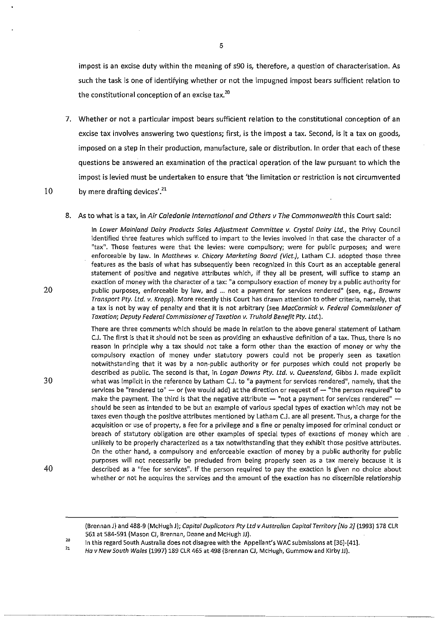impost is an excise duty within the meaning of s90 is, therefore, a question of characterisation. As such the task is one of identifying whether or not the impugned impost bears sufficient relation to the constitutional conception of an excise tax.<sup>20</sup>

- 7. Whether or not a particular impost bears sufficient relation to the constitutional conception of an excise tax involves answering two questions; first, is the impost a tax. Second, is it a tax on goods, imposed on a step in their production, manufacture, sale or distribution. In order that each of these questions be answered an examination of the practical operation of the law pursuant to which the impost is levied must be undertaken to ensure that 'the limitation or restriction is not circumvented  $10$  by mere drafting devices'.<sup>21</sup>
- 

20

30

40

#### 8. As to what is a tax, in Air Caledonie International and Others v The Commonwealth this Court said:

In *Lower Mainland Dairy Products Sales Adjustment Committee v. Crystal Dairy Ltd., the Privy Council* identified three features which sufficed to impart to the levies involved in that case the character of a **"tax!!, Those features were that the levies: were compulsory; were for public purposes; and were**  enforceable by law. In *Matthews v. Chicory Marketing Board (Vict.),* Latham c.J. adopted those three **features as the basis of what has subsequently been recognized in this Court as an acceptable general statement of positive and negative attributes which, if they all be present, will suffice to stamp an exaction of money with the character of a tax: "a compulsory exaction of money** by a **public authority for public purposes, enforceable by law, and ... not a payment for services rendered" (see, e.g., Browns**  *Transport Pty. Ltd. v. Kropp).* More recently this Court has drawn attention to other criteria, namely, that a tax is not by way of penalty and that it is not arbitrary (see *MacCormick v. Federal Commissioner of Taxation; Deputy Federal Commissioner of Taxation v. Truhold Benefit Pty. Ltd.).* 

**There are three comments which should be made in relation to the above general statement of Latham**  *C.l.* **The first is that it should not be seen as providing an exhaustive definition of a tax. Thus, there is no reason in principle why a tax should not take a form other than the exaction of money or why the compulsory exaction of money under statutory powers could not be properly seen as taxation**  notwithstanding that it was by a non·public authority or for purposes which could not properly be described as public. The second is that, in *Logan Downs Pty. Ltd. v. Queensland,* Gibbs J. made explicit what was implicit in the reference by Latham C.J. to "a payment for services rendered", namely, that the services be "rendered to"  $\rightarrow$  or (we would add) at the direction or request of  $\rightarrow$  "the person required" to make the payment. The third is that the negative attribute  $-$  "not a payment for services rendered"  $$ should be seen as intended to be but an example of various special types of exaction which may not be taxes even though the positive attributes mentioned by Latham c.J. are all present. Thus, a charge for the **acquisition or use of property, a fee for a privilege and a fine or penalty imposed for criminal conduct or**  breach of statutory obligation are other examples of special types of exactions of money which are unlikely to be properly characterized as a tax notwithstanding that they exhibit those positive attributes. On the other hand, a compulsory and enforceable exaction of money by a public authority for public purposes will not necessarily be precluded from being properly seen as a tax merely because it is described as a "fee for services". If the person required to pay the exaction is given no choice about **whether or not he acquires the services and the amount of the exaction has no discernible relationship** 

(Brennan J) and 488-9 (McHugh J); *Capital Duplicators Pty Ltd v Australian Capitol Territory [No* 2J (1993) 178 CLR 561 at 584-591 (Mason CJ, Brennan, Deane and McHugh JJ).

20 In this regard South Australia does not disagree with the Appellant's WAC submissions at [36]·[41].

21 *Ha v New South Wales* (1997) 189 CLR 465 at 498 (Brennan CJ, McHugh, Gummow and Kirby JJ).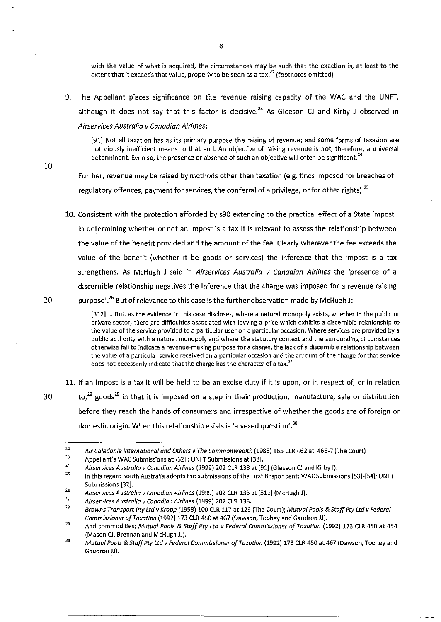**with the value of what is acquired, the circumstances may be such that the exaction is, at least to the**  extent that it exceeds that value, properly to be seen as a tax.<sup>22</sup> (footnotes omitted)

9. The Appellant places significance on the revenue raising capacity of the WAC and the UNFT, although it does not say that this factor is decisive.<sup>23</sup> As Gleeson CJ and Kirby J observed in Airservices Australia v Canadian Airlines:

[91) Not all taxation has as its primary purpose the raising of revenue; and some forms of taxation are **notoriously inefficient means to that end. An objective of raising revenue is** *not.* **therefore, a universal determinant. Even so, the presence or absence of such an objective will often be significant.<sup>24</sup>**

10

Further, revenue may be raised by methods other than taxation (e.g. fines imposed for breaches of regulatory offences, payment for services, the conferral of a privilege, or for other rights).<sup>25</sup>

10. Consistent with the protection afforded by s90 extending to the practical effect of a State impost, in determining whether or not an impost is a tax it is relevant to assess the relationship between the value of the benefit provided and the amount of the fee. Clearly wherever the fee exceeds the value of the benefit (whether it be goods or services) the inference that the impost is a tax strengthens. As McHugh J said in Airservices Australia v Canadian Airlines the 'presence of a discernible relationship negatives the inference that the charge was imposed for a revenue raising

20 purpose'.<sup>26</sup> But of relevance to this case is the further observation made by McHugh J:

**[312] ... But, as the evidence in this case discloses, where a natural monopoly exists, whether in the public or**  private sector, there are difficulties associated with levying a price which exhibits a discernible relationship to **the value** of the **service provided to a particular user on a particular occasion. Where services are provided by a**  public authority with a natural monopoly and where the statutory context and the surrounding circumstances **otherwise fail to indicate a revenue-making purpose for a charge, the lack of a discernible relationship between the value of a particular service received on a particular occasion and the amount·of the charge for that service does not necessarily indicate that the charge has the character of a tax.<sup>v</sup>**

- 11. If an impost is a tax it will be held to be an excise duty if it is upon, or in respect of, or in relation
- $30$  to, $^{28}$  goods<sup>29</sup> in that it is imposed on a step in their production, manufacture, sale or distribution before they reach the hands of consumers and irrespective of whether the goods are of foreign or domestic origin. When this relationship exists is 'a vexed question'.<sup>30</sup>

 $22$ *Air Caledonie International and Others v The Commonwealth* (1988) 165 CLR 462 at 466-7 (The Court)

<sup>23</sup>  Appellant's WAC Submissions at [52]; UNFT Submissions at [38].

<sup>24</sup> *Airserviees Australia v Canadian Airlines* (1999) 202 CLR 133 at [91] (Gleeson CJ and Kirby J).

<sup>2</sup>S In this regard South Australia adopts the submissions of the First Respondent; WAC Submissions [53]-[54]; UNFT Submissions [32].

<sup>26</sup>  *Airserviees Australia v Canadian Airlines* (1999) 202 CLR 133 at [311] (MeHugh J).

<sup>27</sup>  *Airserviees Australia v Canadian Airlines* (1999) 202 CLR 133.

<sup>2</sup>S *Browns Transport Pty Ltd v Kropp* (1958) 100 CLR 117 at 129 (The Court); *Mutual Pools* & *StaffPty Ltd v Federal Commissioner of Taxation* (1992) 173 CLR 450 at 467 (Dawson, Toohey and Gaudron JJ).

<sup>29</sup>  And commodities; Mutual Pools & Staff Pty Ltd v Federal Commissioner of Taxation (1992) 173 CLR 450 at 454 (Mason CJ, Brennan and McHugh JJ).

<sup>30</sup> *Mutual Pools & Staff Pty Ltd v Federal Commissioner of Taxation (1992) 173 CLR 450 at 467 (Dawson, Toohey and* Gaudron JJ).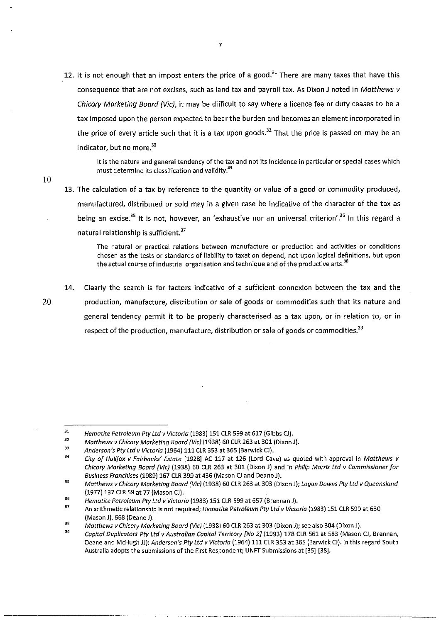12. It is not enough that an impost enters the price of a good.<sup>31</sup> There are many taxes that have this consequence that are not excises, such as land tax and payroll tax. As Dixon J noted in Matthews v Chicory Marketing Board (Vie), it may be difficult to say where a licence fee or duty ceases to be a tax imposed upon the person expected to bear the burden and becomes an element incorporated in the price of every article such that it is a tax upon goods.<sup>32</sup> That the price is passed on may be an indicator, but no more.<sup>33</sup>

**It is the nature and general tendency of the tax and not its incidence in particular or special cases which must determine its classification and validity.34** 

13. The calculation of a tax by reference to the quantity or value of a good or commodity produced, manufactured, distributed or sold may in a given case be indicative of the character of the tax as being an excise.<sup>35</sup> It is not, however, an 'exhaustive nor an universal criterion'.<sup>36</sup> In this regard a natural relationship is sufficient.<sup>37</sup>

> **The natural or practical relations between manufacture or production and activities or conditions chosen as the tests or standards of liability to taxation depend, not upon logical definitions, but upon**  the actual course of industrial organisation and technique and of the productive arts.<sup>38</sup>

14. Clearly the search is for factors indicative of a sufficient connexion between the tax and the 20 production, manufacture, distribution or sale of goods or commodities such that its nature and general tendency permit it to be properly characterised as a tax upon, or in relation to, or in respect of the production, manufacture, distribution or sale of goods or commodities.<sup>39</sup>

 $\overline{31}$ Hematite Petroleum Pty Ltd v Victoria (1983) 151 CLR 599 at 617 (Gibbs CJ).

<sup>32</sup> Matthews v Chicory Marketing Board (Vic) (1938) 60 CLR 263 at 301 (Dixon J).

<sup>33</sup> Anderson's Pty Ltd v Victoria (1964) 111 CLR 353 at 365 (Barwick CJ).

<sup>34</sup>  City of Halifax v Fairbanks' Estate [1928) AC 117 at 126 (Lord Cave) as quoted with approval in Matthews v Chicory Marketing Board (Vic) (1938) 60 CLR 263 at 301 (Dixon J) and in Philip Morris Ltd v Commissioner for Business Franchises (1989) 167 CLR 399 at 436 (Mason CJ and Deane J).

<sup>35</sup> Motthews v Chicory Marketing Board (Vic) (1938) 60 CLR 263 at 303 (Dixon J); Logan Downs Pty Ltd v Queensland (1977) 137 CLR 59 at 77 (Mason CJ).

<sup>36</sup> Hematite Petroleum Pty Ltd v Victoria (1983) 151 CLR 599 at 657 (Brennan J).

<sup>37</sup>  **An arithmetic relationship is not required;** *Hematite Petroleum Pty Ltd v Victoria* **(1983) 151 ClR 599 at 630**  (Mason J), 668 (Dea ne J).

<sup>38</sup> Matthews v Chicory Marketing Board (Vic) (1938) 60 CLR 263 at 303 (Dixon J); see also 304 (Dixon J).

<sup>39</sup>  Capital Duplicators Pty Ltd v Australian Capital Territory [No 2J (1993) 178 CLR 561 at 583 (Mason CJ, Brennan, Deane and McHugh JJ); Anderson's Pty Ltd v Victoria (1964) 111 CLR 353 at 365 (Barwick CJ). In this regard South **Australia adopts the submissions ofthe First Respondent; UNFT Submissions at [35}-[38].**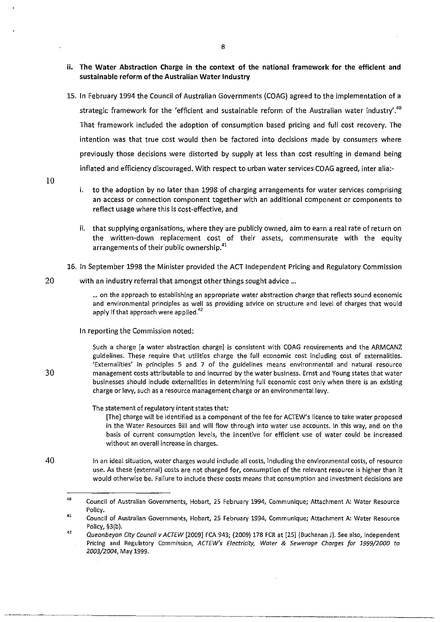- ii. The Water Abstraction Charge in the context of the national framework for the efficient and sustainable reform of the Australian Water Industry
- 15. In February 1994 the Council of Australian Governments (COAG) agreed to the implementation of a strategic framework for the 'efficient and sustainable reform of the Australian water industry'.<sup>40</sup> That framework included the adoption of consumption based pricing and full cost recovery. The intention was that true cost would then be factored into decisions made by consumers where previously those decisions were distorted by supply at less than cost resulting in demand being inflated and efficiency discouraged. With respect to urban water services COAG agreed, inter alia:-
- 10
- i. to the adoption by no later than 1998 of charging arrangements for water services comprising an access or connection component together with an additional component or components to reflect usage where this is cost-effective, and
- ii. that supplying organisations, where they are publicly owned, aim to earn a real rate of return on the written-down replacement cost of their assets, commensurate with the equity arrangements of their public ownership.<sup>41</sup>
- 16. In September 1998 the Minister provided the ACT Independent Pricing and Regulatory Commission
- 20 with an industry referral that amongst other things sought advice ...

**... on the approach to establishing an appropriate water abstraction charge that reflects sound economic and environmental principles as well as providing advice on structure and level of charges that would**  apply if that approach were applied.<sup>42</sup>

In reporting the Commission noted:

Such a charge [a water abstraction charge] is consistent with COAG requirements and the ARMCANZ **guidelines. These require that utilities charge the full economic cost including cost of externalities. 'Externalities' in principles 5 and 7 of the guidelines means environmental and natural resource management costs attributable to and incurred by the water business. Ernst and Young states that water businesses should include externalities in determining full economic cost only when there is an existing charge or levy, such as a resource management charge or an environmental levy.** 

The statement of regulatory intent states that:

[The] charge will be identified as a component of the fee for ACTEW's licence to take water proposed **in the Water Resources Bill and will flow through into water use accounts. In this way, and on the basis of current consumption levels, the incentive for efficient use of water could be increased without an overall increase in charges.** 

40 **In an ideal situation, water charges would include all costs, including the environmental costs, of resource**  use. As these (external) costs are not charged for, consumption of the relevant resource is higher than it **would otherwise be. Failure to include these costs means that consumption and investment decisions are** 

<sup>40</sup>  41 **Council of Australian Governments, Hobart, 25 February 1994, Communique; Attachment A: Water Resource Policy.** 

**Council of Australian Governments, Hobart, 25 February 1994, Communique; Attachment A: Water Resource**  Policy, §3(b).

<sup>42</sup>  Queanbeyan City Council v ACTEW [2009] FCA 943; (2009) 178 FCR at [25] (Buchanan J). See also, Independent **Pricing and Regulatory Commission,** *ACTEW's* **ElectriCity,** *Water* **&** *Sewerage Charges for 1999/2000* **to**  *2003/2004,* May 1999.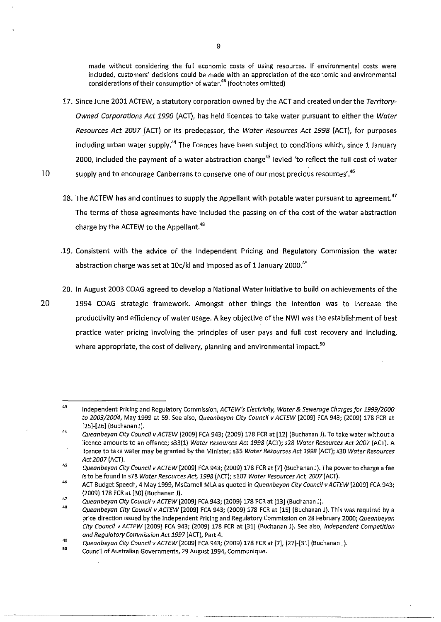**made without considering the full economic costs of using resources. If environmental costs were included, customers' decisions could be made with an appreciation of the economic and environmental considerations** of their **consumption of water.43 (footnotes omitted)** 

17. Since June 2001 ACTEW, a statutory corporation owned by the ACT and created under the Territory-Owned Corporations Act 1990 (ACT), has held licences to take water pursuant to either the Water Resources Act 2007 (ACT) or its predecessor, the Water Resources Act 1998 (ACT), for purposes including urban water supply.<sup>44</sup> The licences have been subject to conditions which, since 1 January 2000, included the payment of a water abstraction charge<sup>45</sup> levied 'to reflect the full cost of water

 $10$  supply and to encourage Canberrans to conserve one of our most precious resources'.<sup>46</sup>

- 18. The ACTEW has and continues to supply the Appellant with potable water pursuant to agreement.<sup>47</sup> The terms of those agreements have included the passing on of the cost of the water abstraction charge by the ACTEW to the Appellant.<sup>48</sup>
- 19. Consistent with the advice of the Independent Pricing and Regulatory Commission the water abstraction charge was set at 10c/kl and imposed as of 1 January 2000.<sup>49</sup>
- 20. In August 2003 COAG agreed to develop a National Water Initiative to build on achievements of the

20 1994 COAG strategic framework. Amongst other things the intention was to increase the productivity and efficiency of water usage. A key objective of the NWI was the establishment of best practice water pricing involving the principles of user pays and full cost recovery and including, where appropriate, the cost of delivery, planning and environmental impact.<sup>50</sup>

<sup>43</sup> independent Pricing and Reguiatory Commission, ACTEW's Electricity, Water & Sewerage Charges for 1999/2000 to 2003/2004, May 1999 at 59. See aiso, Queanbeyan City Council v ACTEW [2009] FCA 943; (2009) 178 FCR at [25]·[26] (Buchanan J).

<sup>44</sup>  Queanbeyan City Council v ACTEW [2009] FCA 943; (2009) 178 FCR at [12] (Buchanan J). To take water without a licence amounts to an offence; 533(1) Water Resources Act 1998 (ACT); 528 Water Resources Act 2007 (ACT). A licence to take water may be granted by the Minister; s35 Water Resources Act 1998 (ACT); s30 Water Resources Act 2007 (ACT).

<sup>45</sup>  Queanbeyan City Council v ACTEW [2009] FCA 943; (2009) 178 FCR at [7] (Buchanan J). The power to charge a fee is to be found in 578 Water Resources Act, 1998 (ACT); 5107 Water Resources Act; 2007 (ACT).

<sup>45</sup>  ACT Budget Speech, 4 May 1999, MsCarnell MLA as quoted in Queanbeyon City Council v ACTEW [2009] FCA 943; (2009) 178 FCR at [30] (Buchanan J).

<sup>47</sup>  Queanbeyan City Council v ACTEW [2009] FCA 943; (2009) 178 FCR at [13] (Buchanan J).

<sup>48</sup>  Queanbeyan City Council v ACTEW [2009] FCA 943; (2009) 178 FCR at [15] (Buchanan J). This was required by a **price direction issued by the Independent Pricing and Regulatory Commission on 28 February 2000; Queanbeyan**  City Council v ACTEW [2009] FCA 943; (2009) 178 FCR at [31] (Buchanan J). See aiso, Independent Competition and Regulatory Commission Act 1997 (ACT), Part 4.

<sup>49</sup>  Queanbeyan City Council v ACTEW [2009) FCA 943; (2009) 178 FCR at [7], [27]-[31] (Buchanan J).

<sup>50</sup>  **Council of Australian Governments, 29 August 1994, Communique.**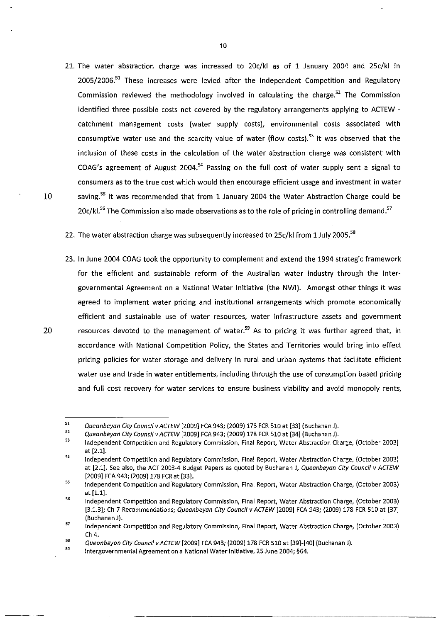- 21. The water abstraction charge was increased to 20c/kl as of 1 January 2004 and 2sc/kl in  $2005/2006$ .<sup>51</sup> These increases were levied after the Independent Competition and Regulatory Commission reviewed the methodology involved in calculating the charge.<sup>52</sup> The Commission identified three possible costs not covered by the regulatory arrangements applying to ACTEW catchment management costs (water supply costs), environmental costs associated with consumptive water use and the scarcity value of water (flow costs).<sup>53</sup> It was observed that the inclusion of these costs in the calculation of the water abstraction charge was consistent with COAG's agreement of August 2004.<sup>54</sup> Passing on the full cost of water supply sent a signal to consumers as to the true cost which would then encourage efficient usage and investment in water 10 saving.<sup>55</sup> It was recommended that from 1 January 2004 the Water Abstraction Charge could be 20c/kl.<sup>56</sup> The Commission also made observations as to the role of pricing in controlling demand.<sup>57</sup>
	- 22. The water abstraction charge was subsequently increased to 25c/kl from 1 July 2005.<sup>58</sup>
- 23. In June 2004 COAG took the opportunity to complement and extend the 1994 strategic framework for the efficient and sustainable reform of the Australian water industry through the Intergovernmental Agreement on a National Water Initiative (the NWI). Amongst other things it was agreed to implement water pricing and institutional arrangements which promote economically efficient and sustainable use of water resources, water infrastructure assets and government 20 resources devoted to the management of water.<sup>59</sup> As to pricing it was further agreed that, in accordance with National Competition Policy, the States and Territories would bring into effect pricing policies for water storage and delivery in rural and urban systems that facilitate efficient water use and trade in water entitlements, including through the use of consumption based pricing and full cost recovery for water services to ensure business viability and avoid monopoly rents,

<sup>51</sup>  Queanbeyan City Council v ACTEW [2009J FCA 943; [2009) 178 FCR 510 at [33J [Suchanan J).

<sup>52</sup>  Queonbeyon City Council v ACTEW [2009J FCA 943; (2009) 178 FCR 510 at [34J (Suchanan J).

<sup>53</sup>  **Independent Competition and Regulatory Commission, Final Report, Water Abstraction Charge, (October 2003)**  at [2.1J.

<sup>54</sup>  **Independent Competition and Regulatory Commission, Final Report, Water Abstraction Charge, (October 2003)**  at [2.1]. See also, the ACT 2003-4 Budget Papers as quoted by Buchanan J, Queanbeyan City Council v ACTEW [2009J FCA 943; (2009) 178 FCR at (33J.

<sup>55</sup>  **Independent Competition and 'Regulatory Commission, Final Report, Water Abstraction Charge, (October 2003)**  at{l.lJ.

<sup>56</sup>  **Independent Competition and Regulatory Commission, Final Report, Water Abstraction Charge, (October 2003)**  [3.1.3]; Ch 7 Recommendations; Queanbeyan City Council v ACTEW [2009] FCA 943; (2009) 178 FCR 510 at [37] (Suchanan J).

<sup>57</sup>  **Independent Competition and Regulatory Commission, Final Report, Water Abstraction Charge, (October 2003)**  Ch 4.

<sup>58</sup>  Queanbeyon City Council v ACTEW [2009J FCA 943; (2009) 178 FCR 510 at [39J-[40J (Suchanan J).

<sup>59</sup>  **Intergovernmental Agreement on a National Water Initiative, 25 June 2004; §64.**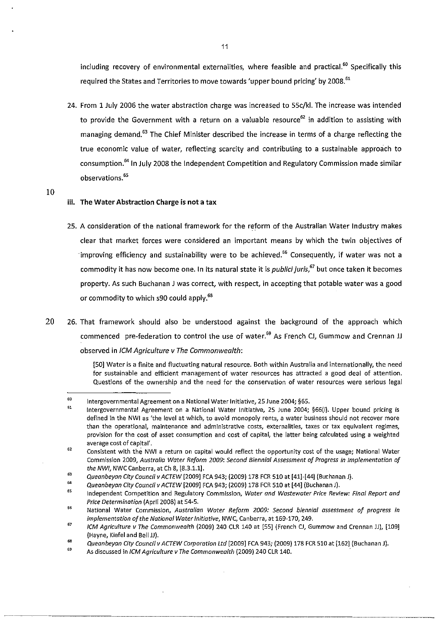including recovery of environmental externalities, where feasible and practical.<sup>60</sup> Specifically this required the States and Territories to move towards 'upper bound pricing' by 2008.<sup>61</sup>

- 24. From 1 July 2006 the water abstraction charge was increased to 55c/kl. The increase was intended to provide the Government with a return on a valuable resource<sup>62</sup> in addition to assisting with managing demand.<sup>63</sup> The Chief Minister described the increase in terms of a charge reflecting the true economic value of water, reflecting scarcity and contributing to a sustainable approach to consumption.<sup>64</sup> In July 2008 the Independent Competition and Regulatory Commission made similar observations.<sup>65</sup>
- 10

### iii. The Water Abstraction Charge is **not** a tax

- 25. A consideration of the national framework for the reform of the Australian Water Industry makes clear that market forces were considered an important means by which the twin objectives of improving efficiency and sustainability were to be achieved.<sup>66</sup> Consequently, if water was not a commodity it has now become one. In its natural state it is *publici juris,67* but once taken it becomes property. As such Buchanan J was correct, with respect, in accepting that potable water was a good or commodity to which s90 could apply.<sup>68</sup>
- 20 26. That framework should also be understood against the background of the approach which commenced pre-federation to control the use of water.<sup>69</sup> As French CJ, Gummow and Crennan JJ observed in *ICM Agriculture v The Commonwealth:*

[50] Water is a finite and fluctuating natural resource. Both within Australia and internationally, the need **for sustainable and efficient management of water resources has attracted a good deal of attention. Questions of the ownership and the need for the conservation of water resources were serious legal** 

<sup>60</sup>  **Intergovernmental Agreement on a National Water Initiative, 25 June 2004; §65.** 

<sup>51</sup>  **Intergovernmental Agreement on a National Water Initiative, 25 June 2004; §66(i), Upper bound pricing is defined in the NWI as 'the level at which, to avoid monopoly rents, a water business should not recover more than the operational, maintenance and administrative costs, externalities, taxes or tax equivalent regimes, provision for the cost of asset consumption and cost of capital, the latter being calculated using a weighted average cost of capital'.** 

<sup>62</sup>  **Consistent with the NWI a return on capital would reflect the opportunity cost of the usage; National Water Commission 2009,** *Australia Water Reform 2009: Second Biennial Assessment of Progress in Implementation of*  the NWI, NWC Canberra, at Ch 8, [8.3.1.1].

<sup>63</sup> Queanbeyan City Cauncil v ACTEW [2009] FCA 943; (2009) 178 FCR 510 at [41]-[44] (Buchanan J).

<sup>64</sup>  Queanbeyan City Council v ACTEW [2009] FCA 943; (2009) 178 FCR 510 at [44] (Buchanan J).

<sup>65</sup>  **Independent Competition and Regulatory Commission,** *Water and Wastewater Price Review: Final Report and*  Price Determinotion (April 2008) at 54-5.

<sup>55</sup>  **National Water Commission,** *Australian Water Reform 2009: Second biennial assessment of progress in implementation of the National Water Initiative,* **NWC, Canberra, at 169-170, 249.** 

<sup>67</sup>  ICM Agriculture v The Commonweolth (2009) 240 ClR 140 at [55] (French CJ, Gummow and Crennan JJ), [109] (Hayne, Kiefel and Bell JJ).

<sup>68</sup> Queonbeyan City Council v ACTEW Corporation Ltd [2009] FCA 943; (2009) 178 FCR 510 at [162] (Buchanan J).

<sup>69</sup>  As discussed in ICM Agriculture v The Commonwealth (2009) 240 CLR 140.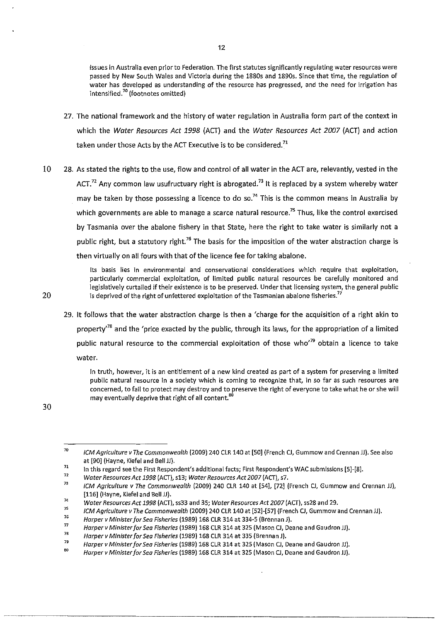**issues in Australia even prior to Federation. The first statutes significantly regulating water resources were**  passed by New South Wales and Victoria during the 18805 and 18905. Since that time, the regulation of **water has developed as understanding of the resource has progressed, and the need for irrigation has**  intensified.70 (footnotes omitted)

- 27. The national framework and the history of water regulation in Australia form part of the context in which the Water Resources Act 1998 (ACT) and the Water Resources Act 2007 (ACT) and action taken under those Acts by the ACT Executive is to be considered.<sup>71</sup>
- 10 28. As stated the rights to the use, flow and control of all water in the ACT are, relevantly, vested in the ACT.<sup>72</sup> Any common law usufructuary right is abrogated.<sup>73</sup> It is replaced by a system whereby water may be taken by those possessing a licence to do so.<sup>74</sup> This is the common means in Australia by which governments are able to manage a scarce natural resource.<sup>75</sup> Thus, like the control exercised by Tasmania over the abalone fishery in that State, here the right to take water is similarly not a public right, but a statutory right.<sup>76</sup> The basis for the imposition of the water abstraction charge is then virtually on all fours with that of the licence fee for taking abalone.

**Its basis lies in environmental and conservational considerations which require that exploitation, particularly commercial exploitation, of limited public natural resources be carefully monitored and legislatively curtailed if their existence is to be preserved. Under that licensing system, the general public is deprived** of the **right of unfettered exploitation of the Tasmanian abalone fisheries.<sup>77</sup>**

29. It follows that the water abstraction charge is then a 'charge for the acquisition of a right akin to property<sup>78</sup> and the 'price exacted by the public, through its laws, for the appropriation of a limited public natural resource to the commercial exploitation of those who<sup>79</sup> obtain a licence to take water.

**In truth, however, it is an entitlement of a new kind created as part of a system for preserving a limited public natural resource in a society which is coming to recognize that, in so far as such resources are**  concerned, to fail to protect may destroy and to preserve the right of everyone to take what he or she will may eventually deprive that right of all content.<sup>80</sup>

30

20

72 Water Resources Act 1998 (ACT), 513; Water Resaurces Act 2007 (ACT), 57.

<sup>70</sup>  ICM Agriculture vThe Commonwealth (2009) 240 CLR 140 at [50) (French CJ, Gummow and Crennan JJ). See also at [90] (Hayne, Kiefel and Bell JJ).

<sup>71</sup>  In this regard see the First Respondent's additional facts; First Respondent's WAC submissions [5]-[8].

<sup>73</sup>  ICM Agriculture v The Commonwealth (2009) 240 CLR 140 at [54], [72) (French CJ, Gummow and Crennan JJ), [116] (Hayne, Kiefel and Bell JJ).

<sup>74</sup> Water Resaurces Act 1998 (ACT), 5533 and 35; Water Resources Act 2007 (ACT), 5528 and 29.

<sup>7</sup>S ICM Agriculture v The Commonwealth (2009) 240 CLR 140 at [52]-[57] (French CJ, Gummow and Crennan JJ).

<sup>76</sup>  Harper v Minister for Sea Fisheries (1989) 168 CLR 314 at 334-5 (Brennan J).

<sup>77</sup>  Harper v Minister for Sea Fisheries (1989) 168 CLR 314 at 325 (Mason CJ, Deane and Gaudron JJ).

<sup>78</sup> Harper v Minister for Sea Fisheries (1989) 168 CLR 314 at 335 (Brennan J).

<sup>79</sup>  Harper v Minister for Sea Fisheries (1989) 168 CLR 314 at 325 (Mason CJ, Deane and Gaudron JJ).

<sup>80</sup> Harper v Minister for Sea Fisheries (1989) 168 CLR 314 at 325 (Mason CJ, Deane and Gaudron JJ).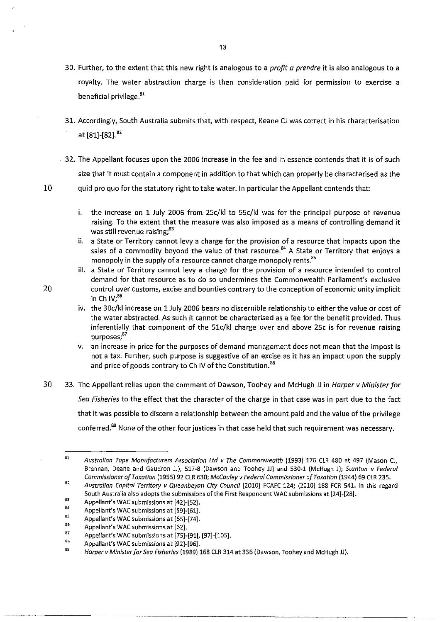- 30. Further, to the extent that this new right is analogous to a *profit a prendre* it is also analogous to a royalty. The water abstraction charge is then consideration paid for permission to exercise a beneficial privilege.<sup>81</sup>
- 31. Accordingly, South Australia submits that, with respect, Keane CJ was correct in his characterisation at  $[81]$ - $[82]$ .  $^{82}$
- 32. The Appellant focuses upon the 2006 increase in the fee and in essence contends that it is of such size that it must contain a component in addition to that which can properly be characterised as the
- 10 quid pro quo for the statutory right to take water. In particular the Appellant contends that:
	- i. the increase on 1 July 2006 from 25c/kl to 55c/kl was for the principal purpose of revenue raising. To the extent that the measure was also imposed as a means of controlling demand it was still revenue raising;<sup>83</sup>
	- ii. a State or Territory cannot levy a charge for the provision of a resource that impacts upon the sales of a commodity beyond the value of that resource. $84$  A State or Territory that enjoys a monopoly in the supply of a resource cannot charge monopoly rents.<sup>85</sup>
- iii. a State or Territory cannot levy a charge for the provision of a resource intended to control demand for that resource as to do so undermines the Commonwealth Parliament's exclusive 20 control over customs, excise and bounties contrary to the conception of economic unity implicit in Ch  $IV; ^{86}$ 
	- iv. the 30c/kl increase on 1 July 2006 bears no discernible relationship to either the value or cost of the water abstracted. As such it cannot be characterised as a fee for the benefit provided. Thus inferentially that component of the 51c/kl charge over and above 25c is for revenue raising **purposes;87**
	- v. an increase in price for the purposes of demand management does not mean that the impost is not a tax. Further, such purpose is suggestive of an excise as it has an impact upon the supply and price of goods contrary to Ch IV of the Constitution.<sup>88</sup>
- 30 33. The Appellant relies upon the comment of Dawson, Toohey and McHugh JJ in *Harper v Minister for Sea Fisheries* to the effect that the character of the charge in that case was in part due to the fact that it was possible to discern a relationship between the amount paid and the value of the privilege conferred.<sup>89</sup> None of the other four justices in that case held that such requirement was necessary.

Bl *Australian Tape Manufacturers Association Ltd v The Commonwealth* (1993) 176 CLR 480 at 497 (Mason CJ, Brennan, Deane and Gaudron JJ), 517-8 (Dawson and Toohey JJ) and 530-1 (McHugh J); *Stanton v Federal Commissioner of Taxation* (1955) 92 CLR 630; *McCauley v Federal Commissioner of Taxation* (1944) 69 CLR 235.

<sup>82</sup>  83 *Australian Capital Territory v Queanbeyan City Council* [2010] FCAFC 124; (2010) 188 FCR 541. In this regard South Australia also adopts the submissions of the First Respondent WAC submissions at [24]-[28].

<sup>84</sup>  Appellant's WAC submissions at [42]-[52].

<sup>85</sup> Appellant's WAC submissions at [59]-[61].

<sup>86</sup> Appellant's WAC submissions at [65]-[74].

<sup>87</sup>  **Appellant's WAC submissions at [62].** 

<sup>88</sup> Appellant's WAC submissions at [75]-[91], [97]-[105].

Appellant's WAC submissions at [92]-[96].

<sup>89</sup>  *Harper v Minister for Sea Fisheries* (1989) 168 CLR 314 at 336 (Dawson, Toohey and McHugh JJ).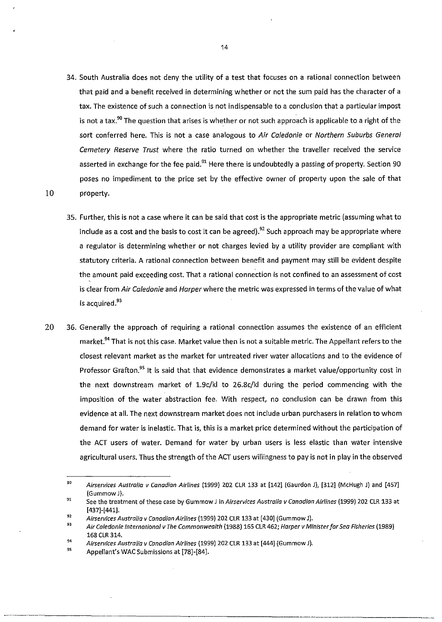- 34. South Australia does not deny the utility of a test that focuses on a rational connection between that paid and a benefit received in determining whether or not the sum paid has the character of a tax. The existence of such a connection is not indispensable to a conclusion that a particular impost is not a tax.<sup>90</sup> The question that arises is whether or not such approach is applicable to a right of the sort conferred here. This is not a case analogous to Air Caledonie or Northern Suburbs General Cemetery Reserve Trust where the ratio turned on whether the traveller received the service asserted in exchange for the fee paid. $91$  Here there is undoubtedly a passing of property. Section 90 poses no impediment to the price set by the effective owner of property upon the sale of that 10 property.
	- 35. Further, this is not a case where it can be said that cost is the appropriate metric (assuming what to include as a cost and the basis to cost it can be agreed).<sup>92</sup> Such approach may be appropriate where a regulator is determining whether or not charges levied by a utility provider are compliant with statutory criteria. A rational connection between benefit and payment may still be evident despite the amount paid exceeding cost. That a rational connection is not confined to an assessment of cost is clear from Air Caledonie and Harper where the metric was expressed in terms of the value of what is acquired. $^{93}$
- 20 36. Generally the approach of requiring a rational connection assumes the existence of an efficient market.<sup>94</sup> That is not this case. Market value then is not a suitable metric. The Appellant refers to the closest relevant market as the market for untreated river water allocations and to the evidence of Professor Grafton.<sup>95</sup> It is said that that evidence demonstrates a market value/opportunity cost in the next downstream market of 1.9c/kl to 26.8c/kl during the period commencing with the imposition of the water abstraction fee. With respect, no conclusion can be drawn from this evidence at all. The next downstream market does not include urban purchasers in relation to whom demand for water is inelastic. That is, this is a market price determined without the participation of the ACT users of water. Demand for water by urban users is less elastic than water intensive agricultural users. Thus the strength of the ACT users willingness to pay is not in play in the observed

<sup>90</sup> Airservices Australia v Canadian Airlines (1999) 202 CLR 133 at [142J (Gaurdon J), [312J (McHugh J) and [457J (GummowJ).

<sup>91</sup>  **See the treatment of these case by Gummow J in** *Airservices Australia v Canadian Airlines* **(1999) 202 CLR 133 at**  [437J-[441J.

<sup>92</sup>  Airservices Australia v Canadian Airlines (1999) 202 CLR 133 at [430] (Gummow J).

<sup>93</sup>  Air Caledonie International v The Commonwealth (1988) 165 CLR 462; Harper v Minister for Sea Fisheries (1989) 168 CLR 314.

<sup>94</sup>  Airservices Australia v Canadian Airlines (1999) 202 CLR 133 at [444] (Gummow J).

<sup>95</sup>  Appellant's WAC Submissions at [78J-[84J.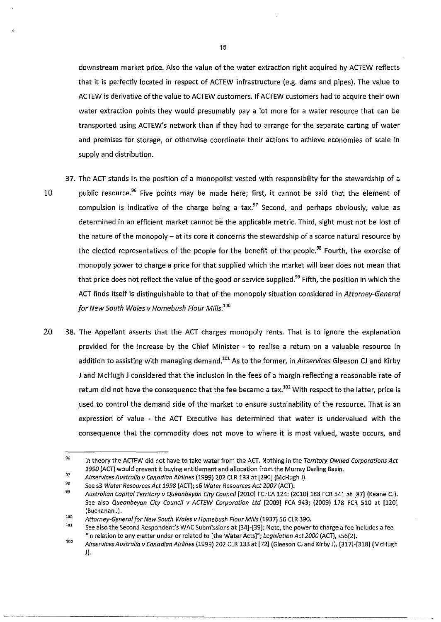downstream market price. Also the value of the water extraction right acquired by ACTEW reflects that it is perfectly located in respect of ACTEW infrastructure (e.g. dams and pipes). The value to ACTEW is derivative of the value to ACTEW customers. If ACTEW customers had to acquire their own water extraction points they would presumably pay a lot more for a water resource that can be transported using ACTEW's network than if they had to arrange for the separate carting of water and premises for storage, or otherwise coordinate their actions to achieve economies of scale in supply and distribution.

- 37. The ACT stands in the position of a monopolist vested with responsibility for the stewardship of a 10 public resource.<sup>96</sup> Five points may be made here; first, it cannot be said that the element of compulsion is indicative of the charge being a tax.<sup>97</sup> Second, and perhaps obviously, value as determined in an efficient market cannot be the applicable metric. Third, sight must not be lost of the nature of the monopoly - at its core it concerns the stewardship of a scarce natural resource by the elected representatives of the people for the benefit of the people.<sup>98</sup> Fourth, the exercise of monopoly power to charge a price for that supplied which the market will bear does not mean that that price does not reflect the value of the good or service supplied.<sup>99</sup> Fifth, the position in which the ACT finds itself is distinguishable to that of the monopoly situation considered in *Attorney-General for New South Wales v Homebush Flour Mills.*<sup>100</sup>
- 20 38. The Appellant asserts that the ACT charges monopoly rents. That is to ignore the explanation provided for the increase by the Chief Minister - to realise a return on a valuable resource in addition to assisting with managing demand.'01 As to the former, in *Airservices* Gleeson CJ and Kirby J and McHugh J considered that the inclusion in the fees of a margin reflecting a reasonable rate of return did not have the consequence that the fee became a tax.<sup>102</sup> With respect to the latter, price is used to control the demand side of the market to ensure sustainability of the resource. That is an expression of value - the ACT Executive has determined that water is undervalued with the consequence that the commodity does not move to where it is most valued, waste occurs, and

<sup>96</sup> 97 In theory the ACTEW did not have to take water from the ACT. Nothing in the *Territory-Owned Corporations Act* 1990 (ACT) would prevent it buying entitlement and allocation from the Murray Darling Basin.

<sup>98</sup> Airservices Australia v Canadian Airlines (1999) 202 CLR 133 at (290) (McHugh J).

<sup>99</sup> See s3 Water Resources Act 1998 (ACT); s6 Water Resources Act 2007 (ACT).

Australian Capitol Territory v Queonbeyan City Council (2010] FCFCA 124; (2010) 188 FCR 541 at (87) (Keane CJ). See also Queanbeyan City Council v ACTEW Corporation Ltd (2009] FCA 943; (2009) 178 FCR S10 at [120] (Buchanan J).

<sup>100</sup>  Attorney-General for New South Wales v Homebush Flour Mills (1937) 56 CLR 390.

<sup>101</sup>  **See also the Second Respondent's WAC Submissions at [34]-[39]; Note, the** power to **charge a fee includes a fee**  "in relation to any matter under or related to [the Water Acts]"; Legislation Act 2000 (ACT), s56(2).

<sup>102</sup>  Airservices Australia v Canadian Airlines (1999) 202 CLR 133 at [72] (Gleeson CJ and Kirby J), [317]-[318] (McHugh J).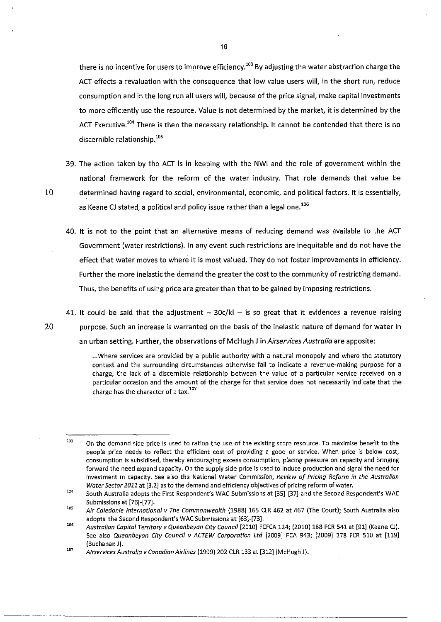there is no incentive for users to improve efficiency.<sup>103</sup> By adjusting the water abstraction charge the

16

ACT effects a revaluation with the consequence that low value users will, in the short run, reduce consumption and in the long run all users will, because of the price signal, make capital investments to more efficiently use the resource. Value is not determined by the market, it is determined by the ACT Executive.<sup>104</sup> There is then the necessary relationship. It cannot be contended that there is no discernible relationship.<sup>105</sup>

- 39. The action taken by the ACT is in keeping with the NWI and the role of government within the national framework for the reform of the water industry. That role demands that value be 10 determined having regard to social, environmental, economic, and political factors. It is essentially, as Keane CJ stated, a political and policy issue rather than a legal one.<sup>106</sup>
	- 40. It is not to the point that an alternative means of reducing demand was available to the ACT Government (water restrictions). In any event such restrictions are inequitable and do not have the effect that water moves to where it is most valued. They do not foster improvements in efficiency. Further the more inelastic the demand the greater the cost to the community of restricting demand. Thus, the benefits of using price are greater than that to be gained by imposing restrictions.

41. It could be said that the adjustment  $-$  30c/kl  $-$  is so great that it evidences a revenue raising 20 purpose. Such an increase is warranted on the basis of the inelastic nature of demand for water in an urban setting. Further, the observations of McHugh J in *Airservices Australia* are apposite:

> ... Where services are provided by a public authority with a natural monopoly and where the statutory **context and the surrounding circumstances otherwise fail to indicate a revenue-making purpose for a charge, the lack of a discernible relationship between the value of a particular service received on a particular occasion and the amount of the charge for that service does not necessarily indicate that the charge has the character of a tax,107**

<sup>103</sup>  **On the demand side price is used to ration the use of the existing scare resource. To maximise benefit to the**  people price needs to reflect the efficient cost of providing a good or service. When price is below cost, **consumption is subsidised, thereby encouraging excess consumption, placing pressure on capacity and bringing forward the need expand capacity. On the supply side price is used to induce production and signal the need for investment in capacity. See also the National Water Commission,** *Review of Pricing Reform in the Australian Water Sector 2011* **at [3.2] as to the demand and efficiency objectives of pricing reform** of water.

<sup>104</sup>  South Australia adopts the First Respondent's WAC Submissions at [35]-[37] and the Second Respondent's WAC Submissions at [76]-[77].

<sup>105</sup>  Air Coledonie International v The Commonwealth [1988) 165 CLR 462 at 467 (The Court); South Australia also adopts the Second Respondent's WAC Submissions at [63J-[73].

<sup>106</sup>  Australian Capitol Territory v Queonbeyan City Council [2010] FCFCA 124; (2010) 188 FCR S41 at [91] (Keane CJ). See also Queanbeyon City Council v ACTEW Corporation Ltd [2009] FCA 943; (2009) 178 FCR 510 at [119] (Buchanan J).

<sup>107</sup>  Airservices Australia v Canadian Airlines (1999) 202 CLR 133 at [312] (McHugh J).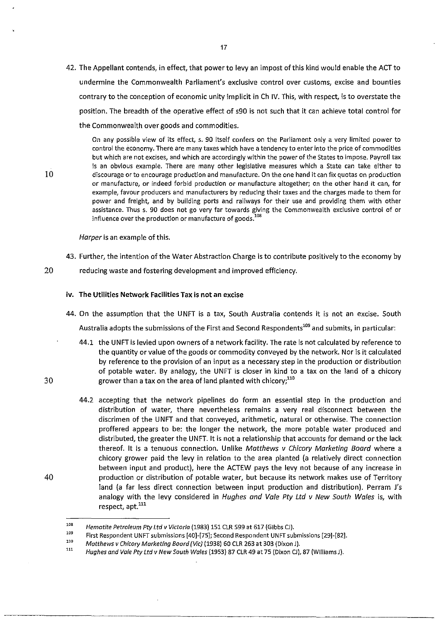42. The Appellant contends, in effect, that power to levy an impost of this kind would enable the ACT to undermine the Commonwealth Parliament's exclusive control over customs, excise and bounties contrary to the conception of economic unity implicit in Ch IV. This, with respect, is to overstate the position. The breadth of the operative effect of s90 is not such that it can achieve total control for the Commonwealth over goods and commodities.

On any possible view of its effect, s. 90 itself confers on the Parliament only a very limited power to **control the economy. There are many taxes which have a tendency to enter into the price of commodities**  but which are not excises, and which are accordingly within the power of the States to impose. Payroll tax **is an obvious example. There are many other legislative measures which a State can take either to discourage or to encourage production and manufacture. On the one hand it can fix quotas on production or manufacture, or indeed forbid production or manufacture altogether; on the other hand it can, for example, favour producers and manufacturers by reducing their taxes and the charges made to them for**  power and freight, and by building ports and railways for their use and providing them with other **assistance. Thus s. 90 does not go very far towards giving the Commonwealth exclusive control of or**  influence over the production or manufacture of goods.<sup>108</sup>

Harper is an example of this.

- 43. Further, the intention of the Water Abstraction Charge is to contribute positively to the economy by
- 20 reducing waste and fostering development and improved efficiency.

### iv. The Utilities Network Facilities Tax is not an excise

- 44. On the assumption that the UNFT is a tax, South Australia contends it is not an excise. South Australia adopts the submissions of the First and Second Respondents<sup>109</sup> and submits, in particular:
- 44.1 the UNFT is levied upon owners of a network facility. The rate is not calculated by reference to the quantity or value of the goods or commodity conveyed by the network. Nor is it calculated by reference to the provision of an input as a necessary step in the production or distribution of potable water. By analogy, the UNFT is closer in kind to a tax on the land of a chicory  $30$  grower than a tax on the area of land planted with chicory; $^{110}$
- 44.2 accepting that the network pipelines do form an essential step in the production and distribution of water, there nevertheless remains a very real disconnect between the discrimen of the UNFT and that conveyed, arithmetic, natural or otherwise. The connection proffered appears to be: the longer the network, the more potable water produced and distributed, the greater the UNFT. It is not a relationship that accounts for demand or the lack thereof. It is a tenuous connection. Unlike Matthews v Chicory Marketing Board where a chicory grower paid the levy in relation to the area planted (a relatively direct connection between input and product), here the ACTEW pays the levy not because of any increase in 40 production or distribution of potable water, but because its network makes use of Territory land (a far less direct connection between input production and distribution). Perram J's analogy with the levy considered in Hughes and Vale Pty Ltd v New South Wales is, with respect, apt.<sup>111</sup>

lOB Hematite Petroleum Pty Ltd v Victoria (1983) 151 CLR 599 at 617 (Gibbs CJ).

<sup>109</sup>  First Respondent UNFT submissions [40)-[75); Second Respondent UNFT submissions [29)-[82).

<sup>110</sup>  Matthews v Chicory Marketing Board (Vie) (1938) 60 CLR 263 at 303 (Dixon J).

<sup>111</sup>  Hughes and Vale Pty Ltd v New South Wales (1953) 87 CLR 49 at 75 (Dixon CJ), 87 (Williams J).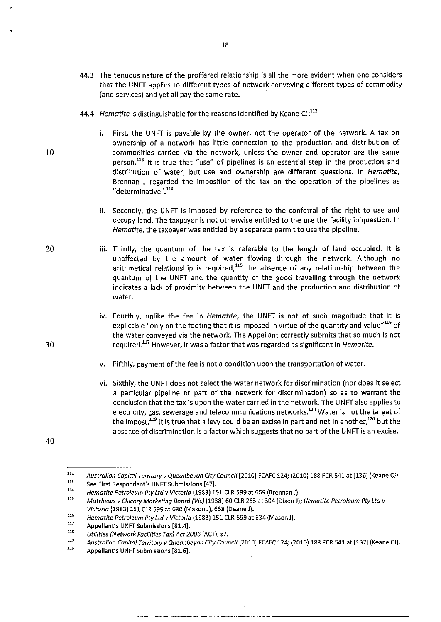- 44.3 The tenuous nature of the proffered relationship is all the more evident when one considers that the UNFT applies to different types of network conveying different types of commodity (and services) and yet all pay the same rate.
- 44.4 Hematite is distinguishable for the reasons identified by Keane  $Cl:^{112}$ 
	- i. First, the UNFT is payable by the owner, not the operator of the network. A tax on ownership of a network has little connection to the production and distribution of commodities carried via the network, unless the owner and operator are the same person.<sup>113</sup> It is true that "use" of pipelines is an essential step in the production and distribution of water, but use and ownership are different questions. In Hematite, Brennan J regarded the imposition of the tax on the operation of the pipelines as "determinative".<sup>114</sup>
	- ii. Secondly, the UNFT is imposed by reference to the conferral of the right to use and occupy land. The taxpayer is not otherwise entitled to the use the facility in "question. In Hematite, the taxpayer was entitled by a separate permit to use the pipeline.
- iii. Thirdly, the quantum of the tax is referable to the length of land occupied. It is unaffected by the amount of water flowing through the network. Although no arithmetical relationship is required, $115$  the absence of any relationship between the quantum of the UNFT and the quantity of the good travelling through the network indicates a lack of proximity between the UNFT and the production and distribution of water.
	- iv. Fourthly, unlike the fee in *Hematite*, the UNFT is not of such magnitude that it is explicable "only on the footing that it is imposed in virtue of the quantity and value"<sup>116</sup> of the water conveyed via the network. The Appellant correctly submits that so much is not required.<sup>117</sup> However, it was a factor that was regarded as significant in *Hematite*.
	- v. Fifthly, payment of the fee is not a condition upon the transportation of water.
	- vi. Sixthly, the UNFT does not select the water network for discrimination (nor does it select a particular pipeline or part of the network for discrimination) so as to warrant the conclusion that the tax is upon the water carried in the network. The UNFT also applies to electricity, gas, sewerage and telecommunications networks.<sup>118</sup> Water is not the target of the impost.<sup>119</sup> It is true that a levy could be an excise in part and not in another,<sup>120</sup> but the absence of discrimination is a factor which suggests that no part of the UNFT is an excise.

40

10

20

<sup>112</sup>  Australian Capital Territory v Queanbeyan City Council [2010] FCAFC 124; (2010) 188 FCR 541 at [136] (Keane CJ). 113 **See First Respondent's UNFT Submissions [47].** 

<sup>114</sup>  Hematite Petroleum Pty Ltd v Victoria (1983) 151 CLR 599 at 659 (Brennan J).

<sup>115</sup>  Matthews v Chicory Marketing Board (Vie) (1938) 60 CLR 263 at 304 (Dixon J); Hematite Petroleum Pty Ltd v Victoria (1983) 151 CLR 599 at 630 (Mason J), 668 (Deane J).

<sup>115</sup>  Hematite Petroleum Pty Ltd v Victoria (1983) 151 CLR 599 at 634 (Mason J).

<sup>117</sup>  Appellant's UNFT Submissions [81.4].

<sup>118</sup>  Utilities (Network Facilities Tax) Act 2006 (ACT), s7.

<sup>119</sup> Australian Capital Territory v Queanbeyan City Council [2010] FCAFC 124; (2010) 188 FCR 541 at [137] (Keane CJ).

<sup>120</sup>  Appellant's UNFT Submissions [81.6].